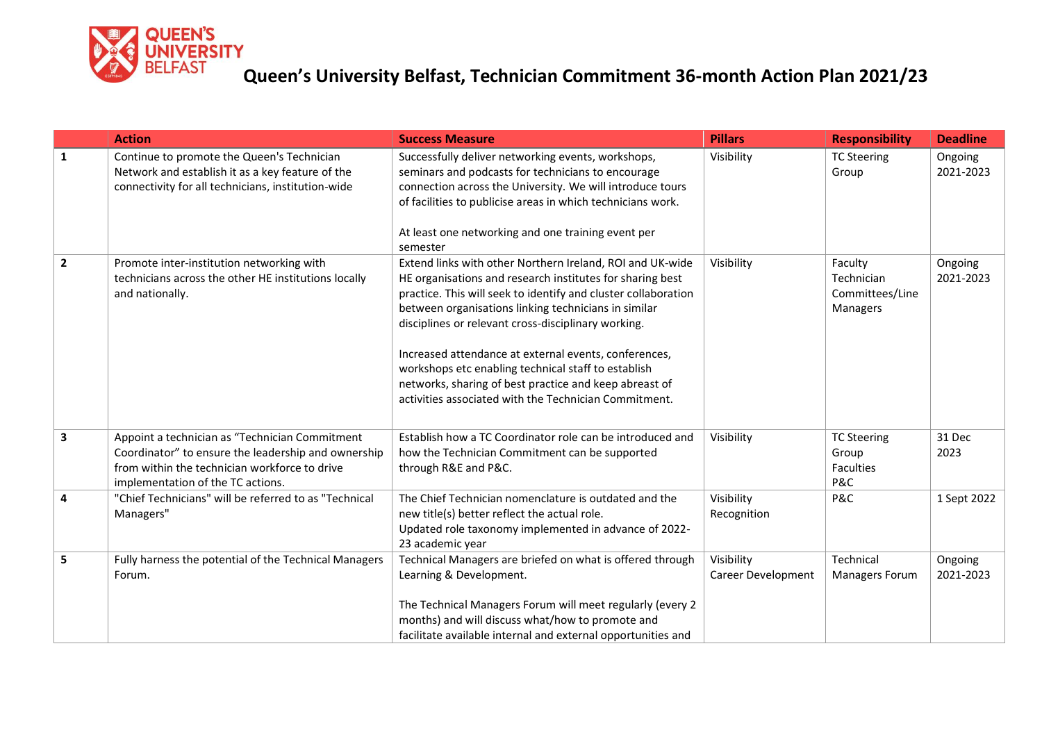

|                         | <b>Action</b>                                                                                                                                                                               | <b>Success Measure</b>                                                                                                                                                                                                                                                                                                                                                                                                                                                                                                                     | <b>Pillars</b>                          | <b>Responsibility</b>                                       | <b>Deadline</b>      |
|-------------------------|---------------------------------------------------------------------------------------------------------------------------------------------------------------------------------------------|--------------------------------------------------------------------------------------------------------------------------------------------------------------------------------------------------------------------------------------------------------------------------------------------------------------------------------------------------------------------------------------------------------------------------------------------------------------------------------------------------------------------------------------------|-----------------------------------------|-------------------------------------------------------------|----------------------|
| 1                       | Continue to promote the Queen's Technician<br>Network and establish it as a key feature of the<br>connectivity for all technicians, institution-wide                                        | Successfully deliver networking events, workshops,<br>seminars and podcasts for technicians to encourage<br>connection across the University. We will introduce tours<br>of facilities to publicise areas in which technicians work.<br>At least one networking and one training event per<br>semester                                                                                                                                                                                                                                     | Visibility                              | <b>TC Steering</b><br>Group                                 | Ongoing<br>2021-2023 |
| $\overline{2}$          | Promote inter-institution networking with<br>technicians across the other HE institutions locally<br>and nationally.                                                                        | Extend links with other Northern Ireland, ROI and UK-wide<br>HE organisations and research institutes for sharing best<br>practice. This will seek to identify and cluster collaboration<br>between organisations linking technicians in similar<br>disciplines or relevant cross-disciplinary working.<br>Increased attendance at external events, conferences,<br>workshops etc enabling technical staff to establish<br>networks, sharing of best practice and keep abreast of<br>activities associated with the Technician Commitment. | Visibility                              | Faculty<br>Technician<br>Committees/Line<br><b>Managers</b> | Ongoing<br>2021-2023 |
| $\overline{\mathbf{3}}$ | Appoint a technician as "Technician Commitment<br>Coordinator" to ensure the leadership and ownership<br>from within the technician workforce to drive<br>implementation of the TC actions. | Establish how a TC Coordinator role can be introduced and<br>how the Technician Commitment can be supported<br>through R&E and P&C.                                                                                                                                                                                                                                                                                                                                                                                                        | Visibility                              | <b>TC Steering</b><br>Group<br><b>Faculties</b><br>P&C      | 31 Dec<br>2023       |
| 4                       | "Chief Technicians" will be referred to as "Technical<br>Managers"                                                                                                                          | The Chief Technician nomenclature is outdated and the<br>new title(s) better reflect the actual role.<br>Updated role taxonomy implemented in advance of 2022-<br>23 academic year                                                                                                                                                                                                                                                                                                                                                         | Visibility<br>Recognition               | P&C                                                         | 1 Sept 2022          |
| 5                       | Fully harness the potential of the Technical Managers<br>Forum.                                                                                                                             | Technical Managers are briefed on what is offered through<br>Learning & Development.<br>The Technical Managers Forum will meet regularly (every 2<br>months) and will discuss what/how to promote and<br>facilitate available internal and external opportunities and                                                                                                                                                                                                                                                                      | Visibility<br><b>Career Development</b> | Technical<br><b>Managers Forum</b>                          | Ongoing<br>2021-2023 |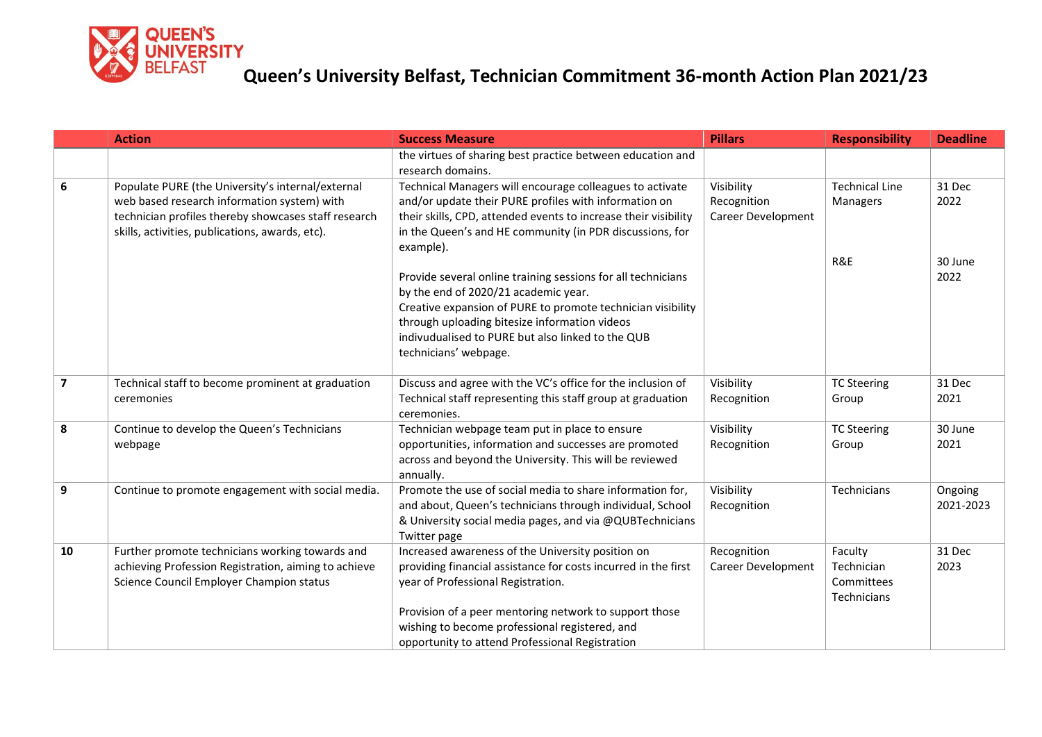

|                         | <b>Action</b>                                                                                                                                                                                               | <b>Success Measure</b>                                                                                                                                                                                                                                                                                                   | <b>Pillars</b>                                  | <b>Responsibility</b>                              | <b>Deadline</b>           |
|-------------------------|-------------------------------------------------------------------------------------------------------------------------------------------------------------------------------------------------------------|--------------------------------------------------------------------------------------------------------------------------------------------------------------------------------------------------------------------------------------------------------------------------------------------------------------------------|-------------------------------------------------|----------------------------------------------------|---------------------------|
|                         |                                                                                                                                                                                                             | the virtues of sharing best practice between education and<br>research domains.                                                                                                                                                                                                                                          |                                                 |                                                    |                           |
| 6                       | Populate PURE (the University's internal/external<br>web based research information system) with<br>technician profiles thereby showcases staff research<br>skills, activities, publications, awards, etc). | Technical Managers will encourage colleagues to activate<br>and/or update their PURE profiles with information on<br>their skills, CPD, attended events to increase their visibility<br>in the Queen's and HE community (in PDR discussions, for<br>example).                                                            | Visibility<br>Recognition<br>Career Development | <b>Technical Line</b><br>Managers<br>R&E           | 31 Dec<br>2022<br>30 June |
|                         |                                                                                                                                                                                                             | Provide several online training sessions for all technicians<br>by the end of 2020/21 academic year.<br>Creative expansion of PURE to promote technician visibility<br>through uploading bitesize information videos<br>indivudualised to PURE but also linked to the QUB<br>technicians' webpage.                       |                                                 |                                                    | 2022                      |
| $\overline{\mathbf{z}}$ | Technical staff to become prominent at graduation<br>ceremonies                                                                                                                                             | Discuss and agree with the VC's office for the inclusion of<br>Technical staff representing this staff group at graduation<br>ceremonies.                                                                                                                                                                                | Visibility<br>Recognition                       | <b>TC Steering</b><br>Group                        | 31 Dec<br>2021            |
| 8                       | Continue to develop the Queen's Technicians<br>webpage                                                                                                                                                      | Technician webpage team put in place to ensure<br>opportunities, information and successes are promoted<br>across and beyond the University. This will be reviewed<br>annually.                                                                                                                                          | Visibility<br>Recognition                       | <b>TC Steering</b><br>Group                        | 30 June<br>2021           |
| 9                       | Continue to promote engagement with social media.                                                                                                                                                           | Promote the use of social media to share information for,<br>and about, Queen's technicians through individual, School<br>& University social media pages, and via @QUBTechnicians<br>Twitter page                                                                                                                       | Visibility<br>Recognition                       | Technicians                                        | Ongoing<br>2021-2023      |
| 10                      | Further promote technicians working towards and<br>achieving Profession Registration, aiming to achieve<br>Science Council Employer Champion status                                                         | Increased awareness of the University position on<br>providing financial assistance for costs incurred in the first<br>year of Professional Registration.<br>Provision of a peer mentoring network to support those<br>wishing to become professional registered, and<br>opportunity to attend Professional Registration | Recognition<br><b>Career Development</b>        | Faculty<br>Technician<br>Committees<br>Technicians | 31 Dec<br>2023            |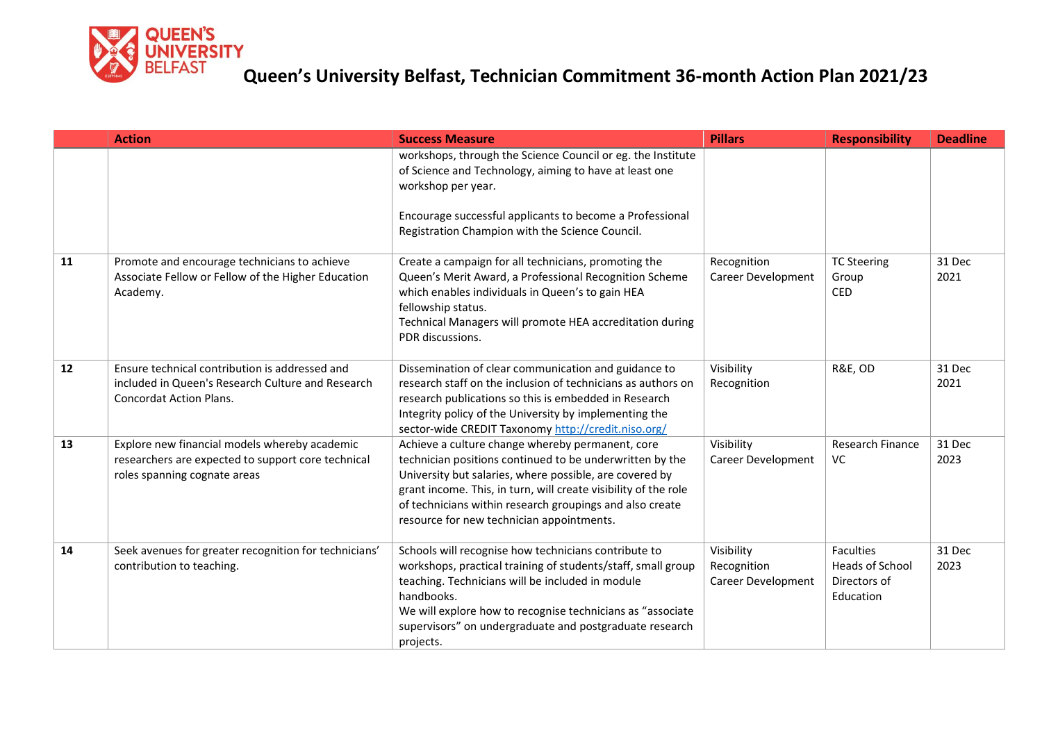

|    | <b>Action</b>                                                                                                                         | <b>Success Measure</b>                                                                                                                                                                                                                                                                                                                              | <b>Pillars</b>                                  | <b>Responsibility</b>                                                   | <b>Deadline</b> |
|----|---------------------------------------------------------------------------------------------------------------------------------------|-----------------------------------------------------------------------------------------------------------------------------------------------------------------------------------------------------------------------------------------------------------------------------------------------------------------------------------------------------|-------------------------------------------------|-------------------------------------------------------------------------|-----------------|
|    |                                                                                                                                       | workshops, through the Science Council or eg. the Institute<br>of Science and Technology, aiming to have at least one<br>workshop per year.                                                                                                                                                                                                         |                                                 |                                                                         |                 |
|    |                                                                                                                                       | Encourage successful applicants to become a Professional<br>Registration Champion with the Science Council.                                                                                                                                                                                                                                         |                                                 |                                                                         |                 |
| 11 | Promote and encourage technicians to achieve<br>Associate Fellow or Fellow of the Higher Education<br>Academy.                        | Create a campaign for all technicians, promoting the<br>Queen's Merit Award, a Professional Recognition Scheme<br>which enables individuals in Queen's to gain HEA<br>fellowship status.<br>Technical Managers will promote HEA accreditation during<br>PDR discussions.                                                                            | Recognition<br><b>Career Development</b>        | <b>TC Steering</b><br>Group<br><b>CED</b>                               | 31 Dec<br>2021  |
| 12 | Ensure technical contribution is addressed and<br>included in Queen's Research Culture and Research<br><b>Concordat Action Plans.</b> | Dissemination of clear communication and guidance to<br>research staff on the inclusion of technicians as authors on<br>research publications so this is embedded in Research<br>Integrity policy of the University by implementing the<br>sector-wide CREDIT Taxonomy http://credit.niso.org/                                                      | Visibility<br>Recognition                       | <b>R&amp;E, OD</b>                                                      | 31 Dec<br>2021  |
| 13 | Explore new financial models whereby academic<br>researchers are expected to support core technical<br>roles spanning cognate areas   | Achieve a culture change whereby permanent, core<br>technician positions continued to be underwritten by the<br>University but salaries, where possible, are covered by<br>grant income. This, in turn, will create visibility of the role<br>of technicians within research groupings and also create<br>resource for new technician appointments. | Visibility<br><b>Career Development</b>         | Research Finance<br>VC                                                  | 31 Dec<br>2023  |
| 14 | Seek avenues for greater recognition for technicians'<br>contribution to teaching.                                                    | Schools will recognise how technicians contribute to<br>workshops, practical training of students/staff, small group<br>teaching. Technicians will be included in module<br>handbooks.<br>We will explore how to recognise technicians as "associate<br>supervisors" on undergraduate and postgraduate research<br>projects.                        | Visibility<br>Recognition<br>Career Development | <b>Faculties</b><br><b>Heads of School</b><br>Directors of<br>Education | 31 Dec<br>2023  |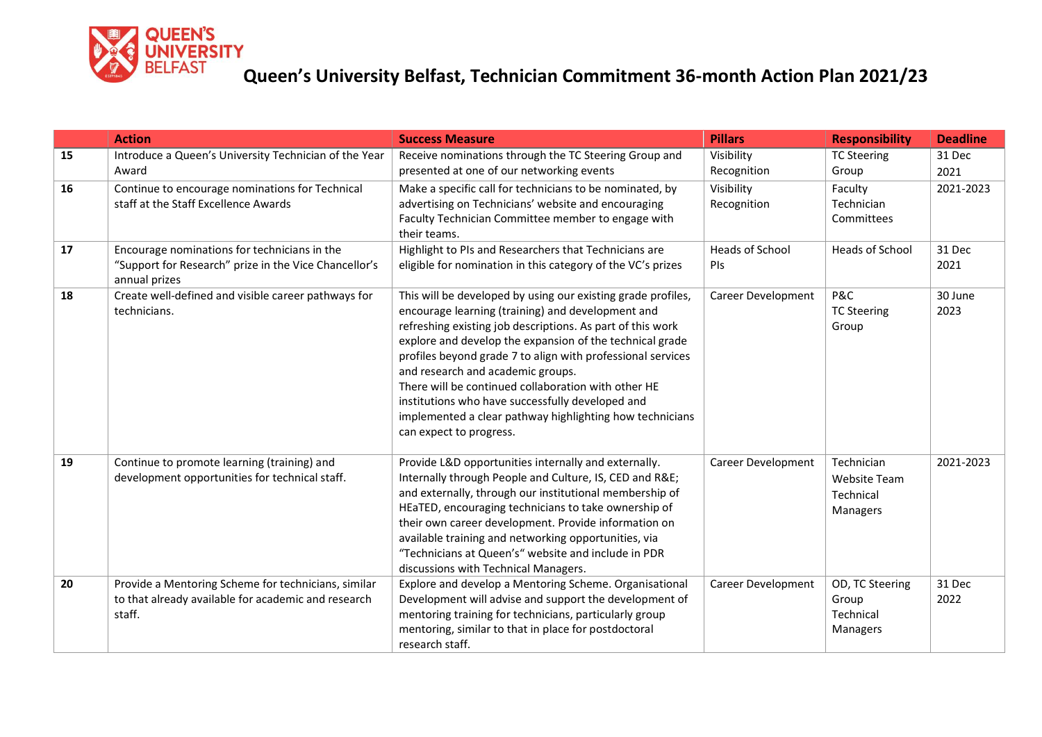

|    | <b>Action</b>                                                                                                          | <b>Success Measure</b>                                                                                                                                                                                                                                                                                                                                                                                                                                                                                                                            | <b>Pillars</b>                | <b>Responsibility</b>                                      | <b>Deadline</b> |
|----|------------------------------------------------------------------------------------------------------------------------|---------------------------------------------------------------------------------------------------------------------------------------------------------------------------------------------------------------------------------------------------------------------------------------------------------------------------------------------------------------------------------------------------------------------------------------------------------------------------------------------------------------------------------------------------|-------------------------------|------------------------------------------------------------|-----------------|
| 15 | Introduce a Queen's University Technician of the Year                                                                  | Receive nominations through the TC Steering Group and                                                                                                                                                                                                                                                                                                                                                                                                                                                                                             | Visibility                    | <b>TC Steering</b>                                         | 31 Dec          |
|    | Award                                                                                                                  | presented at one of our networking events                                                                                                                                                                                                                                                                                                                                                                                                                                                                                                         | Recognition                   | Group                                                      | 2021            |
| 16 | Continue to encourage nominations for Technical<br>staff at the Staff Excellence Awards                                | Make a specific call for technicians to be nominated, by<br>advertising on Technicians' website and encouraging<br>Faculty Technician Committee member to engage with<br>their teams.                                                                                                                                                                                                                                                                                                                                                             | Visibility<br>Recognition     | Faculty<br>Technician<br>Committees                        | 2021-2023       |
| 17 | Encourage nominations for technicians in the<br>"Support for Research" prize in the Vice Chancellor's<br>annual prizes | Highlight to PIs and Researchers that Technicians are<br>eligible for nomination in this category of the VC's prizes                                                                                                                                                                                                                                                                                                                                                                                                                              | <b>Heads of School</b><br>PIs | Heads of School                                            | 31 Dec<br>2021  |
| 18 | Create well-defined and visible career pathways for<br>technicians.                                                    | This will be developed by using our existing grade profiles,<br>encourage learning (training) and development and<br>refreshing existing job descriptions. As part of this work<br>explore and develop the expansion of the technical grade<br>profiles beyond grade 7 to align with professional services<br>and research and academic groups.<br>There will be continued collaboration with other HE<br>institutions who have successfully developed and<br>implemented a clear pathway highlighting how technicians<br>can expect to progress. | Career Development            | P&C<br><b>TC Steering</b><br>Group                         | 30 June<br>2023 |
| 19 | Continue to promote learning (training) and<br>development opportunities for technical staff.                          | Provide L&D opportunities internally and externally.<br>Internally through People and Culture, IS, CED and R&E<br>and externally, through our institutional membership of<br>HEaTED, encouraging technicians to take ownership of<br>their own career development. Provide information on<br>available training and networking opportunities, via<br>"Technicians at Queen's" website and include in PDR<br>discussions with Technical Managers.                                                                                                  | Career Development            | Technician<br><b>Website Team</b><br>Technical<br>Managers | 2021-2023       |
| 20 | Provide a Mentoring Scheme for technicians, similar<br>to that already available for academic and research<br>staff.   | Explore and develop a Mentoring Scheme. Organisational<br>Development will advise and support the development of<br>mentoring training for technicians, particularly group<br>mentoring, similar to that in place for postdoctoral<br>research staff.                                                                                                                                                                                                                                                                                             | Career Development            | OD, TC Steering<br>Group<br>Technical<br>Managers          | 31 Dec<br>2022  |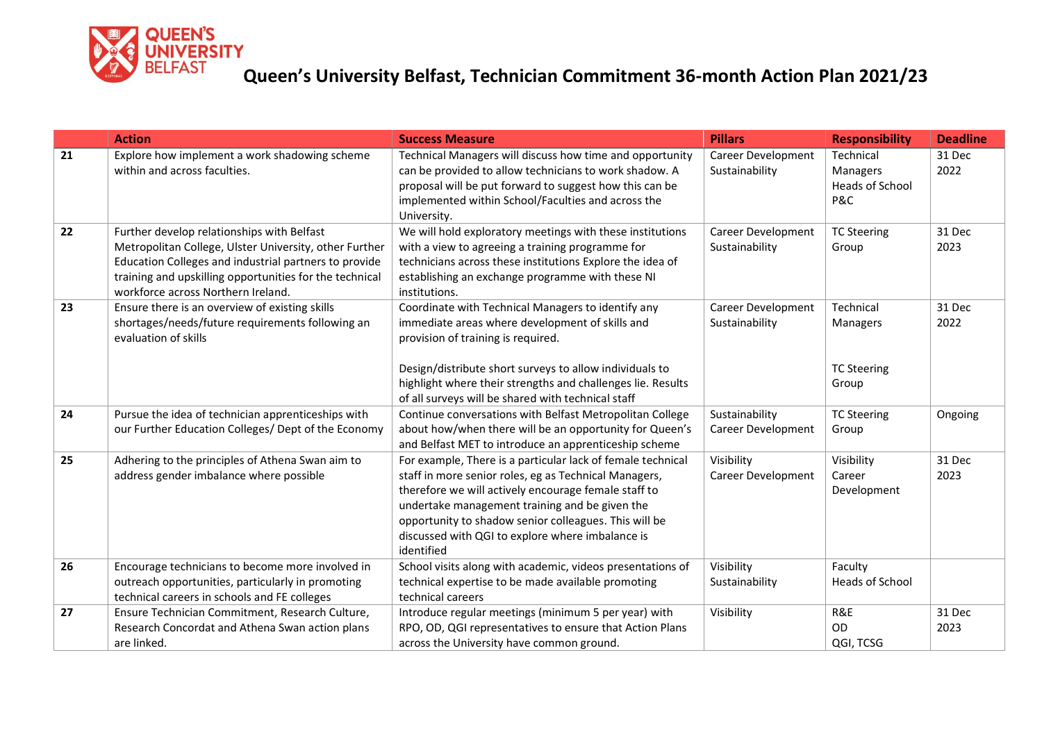

|    | <b>Action</b>                                                                                                                                                                                                                                                  | <b>Success Measure</b>                                                                                                                                                                                                                                                                                                                                    | <b>Pillars</b>                              | <b>Responsibility</b>                                  | <b>Deadline</b> |
|----|----------------------------------------------------------------------------------------------------------------------------------------------------------------------------------------------------------------------------------------------------------------|-----------------------------------------------------------------------------------------------------------------------------------------------------------------------------------------------------------------------------------------------------------------------------------------------------------------------------------------------------------|---------------------------------------------|--------------------------------------------------------|-----------------|
| 21 | Explore how implement a work shadowing scheme<br>within and across faculties.                                                                                                                                                                                  | Technical Managers will discuss how time and opportunity<br>can be provided to allow technicians to work shadow. A<br>proposal will be put forward to suggest how this can be<br>implemented within School/Faculties and across the<br>University.                                                                                                        | Career Development<br>Sustainability        | Technical<br>Managers<br><b>Heads of School</b><br>P&C | 31 Dec<br>2022  |
| 22 | Further develop relationships with Belfast<br>Metropolitan College, Ulster University, other Further<br>Education Colleges and industrial partners to provide<br>training and upskilling opportunities for the technical<br>workforce across Northern Ireland. | We will hold exploratory meetings with these institutions<br>with a view to agreeing a training programme for<br>technicians across these institutions Explore the idea of<br>establishing an exchange programme with these NI<br>institutions.                                                                                                           | Career Development<br>Sustainability        | <b>TC Steering</b><br>Group                            | 31 Dec<br>2023  |
| 23 | Ensure there is an overview of existing skills<br>shortages/needs/future requirements following an<br>evaluation of skills                                                                                                                                     | Coordinate with Technical Managers to identify any<br>immediate areas where development of skills and<br>provision of training is required.<br>Design/distribute short surveys to allow individuals to<br>highlight where their strengths and challenges lie. Results<br>of all surveys will be shared with technical staff                               | <b>Career Development</b><br>Sustainability | Technical<br>Managers<br><b>TC Steering</b><br>Group   | 31 Dec<br>2022  |
| 24 | Pursue the idea of technician apprenticeships with<br>our Further Education Colleges/ Dept of the Economy                                                                                                                                                      | Continue conversations with Belfast Metropolitan College<br>about how/when there will be an opportunity for Queen's<br>and Belfast MET to introduce an apprenticeship scheme                                                                                                                                                                              | Sustainability<br><b>Career Development</b> | <b>TC Steering</b><br>Group                            | Ongoing         |
| 25 | Adhering to the principles of Athena Swan aim to<br>address gender imbalance where possible                                                                                                                                                                    | For example, There is a particular lack of female technical<br>staff in more senior roles, eg as Technical Managers,<br>therefore we will actively encourage female staff to<br>undertake management training and be given the<br>opportunity to shadow senior colleagues. This will be<br>discussed with QGI to explore where imbalance is<br>identified | Visibility<br>Career Development            | Visibility<br>Career<br>Development                    | 31 Dec<br>2023  |
| 26 | Encourage technicians to become more involved in<br>outreach opportunities, particularly in promoting<br>technical careers in schools and FE colleges                                                                                                          | School visits along with academic, videos presentations of<br>technical expertise to be made available promoting<br>technical careers                                                                                                                                                                                                                     | Visibility<br>Sustainability                | Faculty<br>Heads of School                             |                 |
| 27 | Ensure Technician Commitment, Research Culture,<br>Research Concordat and Athena Swan action plans<br>are linked.                                                                                                                                              | Introduce regular meetings (minimum 5 per year) with<br>RPO, OD, QGI representatives to ensure that Action Plans<br>across the University have common ground.                                                                                                                                                                                             | Visibility                                  | R&E<br>OD<br>QGI, TCSG                                 | 31 Dec<br>2023  |